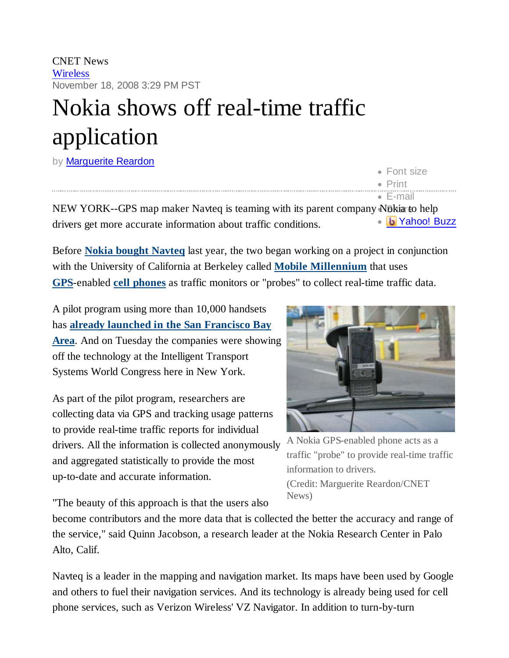CNET News **Wireless** November 18, 2008 3:29 PM PST

## Nokia shows off real-time traffic application

by **Marquerite Reardon** 

|                                                                                 | <b>CELLSIZE</b>        |
|---------------------------------------------------------------------------------|------------------------|
|                                                                                 | $\bullet$ Print        |
|                                                                                 | $\bullet$ F-mail       |
| NEW YORK--GPS map maker Navteq is teaming with its parent company N6kiarto help |                        |
| drivers get more accurate information about traffic conditions.                 | · <b>b</b> Yahoo! Buzz |

Before **Nokia bought Navteq** last year, the two began working on a project in conjunction with the University of California at Berkeley called **Mobile Millennium** that uses **GPS**-enabled **cell phones** as traffic monitors or "probes" to collect real-time traffic data.

A pilot program using more than 10,000 handsets has **already launched in the San Francisco Bay Area**. And on Tuesday the companies were showing off the technology at the Intelligent Transport Systems World Congress here in New York.

As part of the pilot program, researchers are collecting data via GPS and tracking usage patterns to provide real-time traffic reports for individual drivers. All the information is collected anonymously and aggregated statistically to provide the most up-to-date and accurate information.



Font size

A Nokia GPS-enabled phone acts as a traffic "probe" to provide real-time traffic information to drivers. (Credit: Marguerite Reardon/CNET News)

"The beauty of this approach is that the users also

become contributors and the more data that is collected the better the accuracy and range of the service," said Quinn Jacobson, a research leader at the Nokia Research Center in Palo Alto, Calif.

Navteq is a leader in the mapping and navigation market. Its maps have been used by Google and others to fuel their navigation services. And its technology is already being used for cell phone services, such as Verizon Wireless' VZ Navigator. In addition to turn-by-turn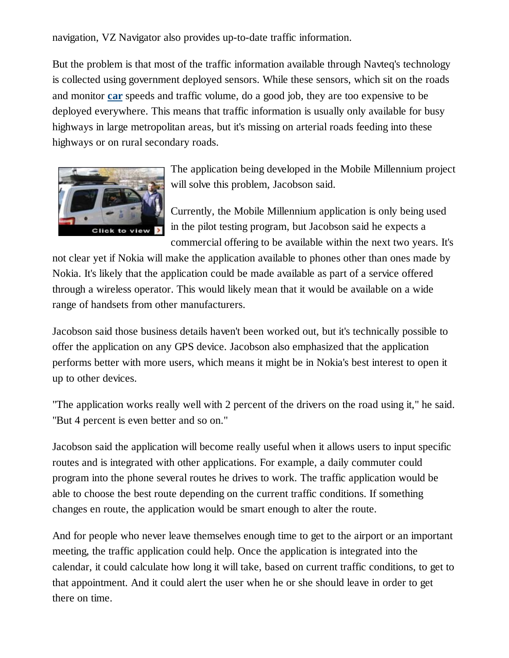navigation, VZ Navigator also provides up-to-date traffic information.

But the problem is that most of the traffic information available through Navteq's technology is collected using government deployed sensors. While these sensors, which sit on the roads and monitor **car** speeds and traffic volume, do a good job, they are too expensive to be deployed everywhere. This means that traffic information is usually only available for busy highways in large metropolitan areas, but it's missing on arterial roads feeding into these highways or on rural secondary roads.



The application being developed in the Mobile Millennium project will solve this problem, Jacobson said.

Currently, the Mobile Millennium application is only being used in the pilot testing program, but Jacobson said he expects a commercial offering to be available within the next two years. It's

not clear yet if Nokia will make the application available to phones other than ones made by Nokia. It's likely that the application could be made available as part of a service offered through a wireless operator. This would likely mean that it would be available on a wide range of handsets from other manufacturers.

Jacobson said those business details haven't been worked out, but it's technically possible to offer the application on any GPS device. Jacobson also emphasized that the application performs better with more users, which means it might be in Nokia's best interest to open it up to other devices.

"The application works really well with 2 percent of the drivers on the road using it," he said. "But 4 percent is even better and so on."

Jacobson said the application will become really useful when it allows users to input specific routes and is integrated with other applications. For example, a daily commuter could program into the phone several routes he drives to work. The traffic application would be able to choose the best route depending on the current traffic conditions. If something changes en route, the application would be smart enough to alter the route.

And for people who never leave themselves enough time to get to the airport or an important meeting, the traffic application could help. Once the application is integrated into the calendar, it could calculate how long it will take, based on current traffic conditions, to get to that appointment. And it could alert the user when he or she should leave in order to get there on time.